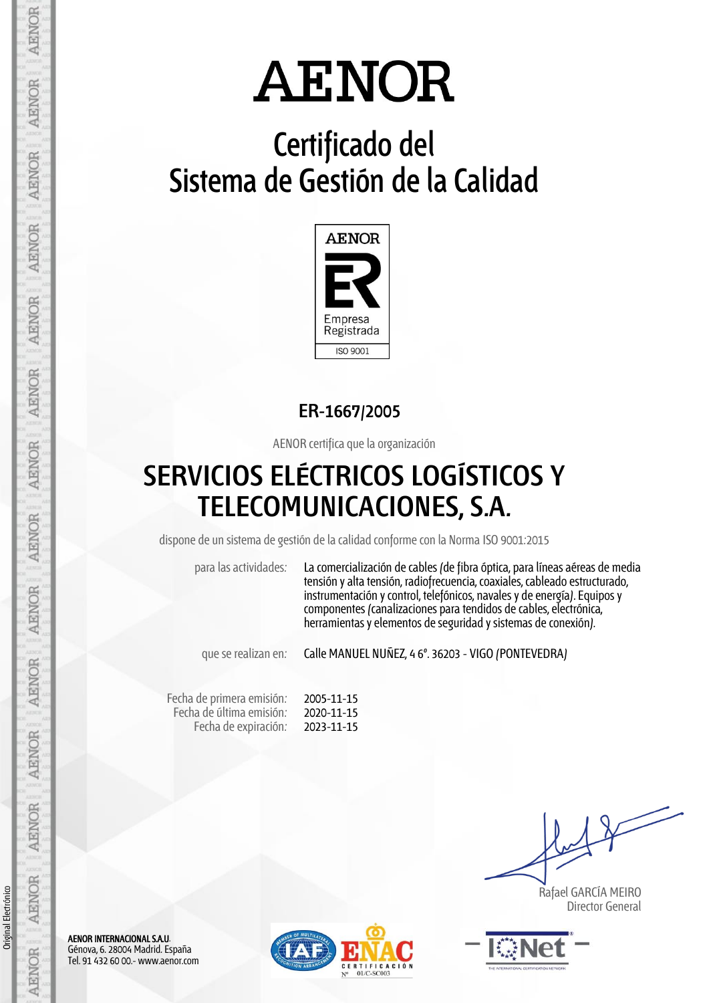# **Certificado del Sistema de Gestión de la Calidad**



### **ER-1667/2005**

AENOR certifica que la organización

### **SERVICIOS ELÉCTRICOS LOGÍSTICOS Y TELECOMUNICACIONES, S.A.**

dispone de un sistema de gestión de la calidad conforme con la Norma ISO 9001:2015

para las actividades: La comercialización de cables (de fibra óptica, para líneas aéreas de media tensión y alta tensión, radiofrecuencia, coaxiales, cableado estructurado, instrumentación y control, telefónicos, navales y de energía). Equipos y componentes (canalizaciones para tendidos de cables, electrónica, herramientas y elementos de seguridad y sistemas de conexión).

que se realizan en: Calle MANUEL NUÑEZ, 4 6º. 36203 - VIGO (PONTEVEDRA)

Fecha de primera emisión: Fecha de última emisión: Fecha de expiración: 2005-11-15 2020-11-15 2023-11-15

 Rafael GARCÍA MEIRO Director General



AENOR INTERNACIONAL S.A.U. Génova, 6. 28004 Madrid. España Tel. 91 432 60 00.- www.aenor.com

Original Electrónico

Original Electrónico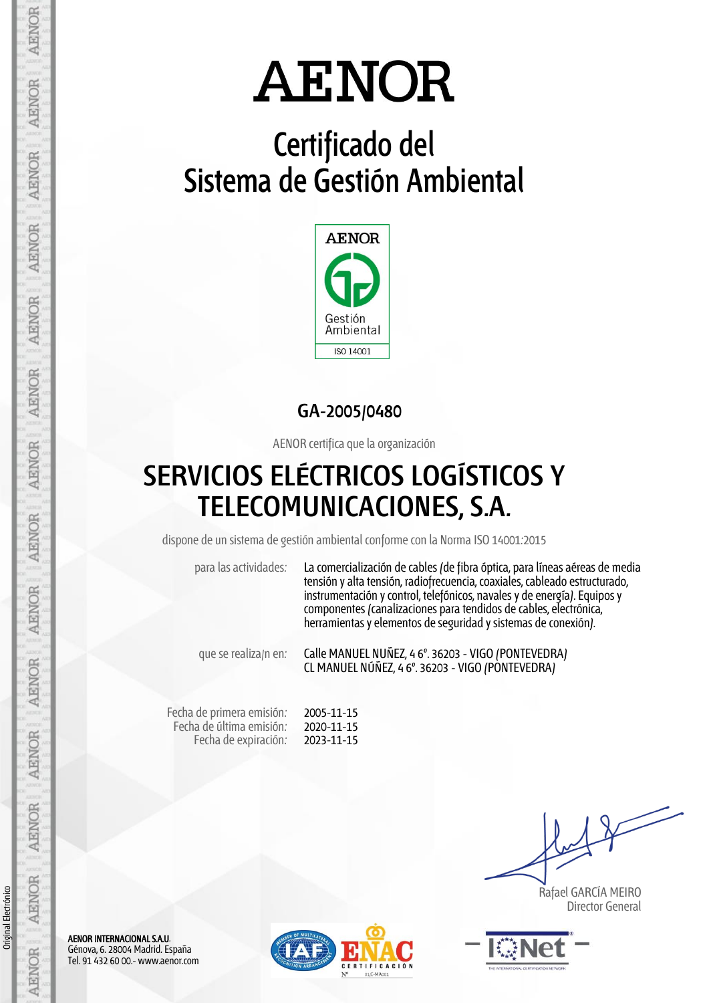# **Certificado del Sistema de Gestión Ambiental**



### **GA-2005/0480**

AENOR certifica que la organización

### **SERVICIOS ELÉCTRICOS LOGÍSTICOS Y TELECOMUNICACIONES, S.A.**

dispone de un sistema de gestión ambiental conforme con la Norma ISO 14001:2015

para las actividades: La comercialización de cables (de fibra óptica, para líneas aéreas de media tensión y alta tensión, radiofrecuencia, coaxiales, cableado estructurado, instrumentación y control, telefónicos, navales y de energía). Equipos y componentes (canalizaciones para tendidos de cables, electrónica, herramientas y elementos de seguridad y sistemas de conexión).

que se realiza/n en: Calle MANUEL NUÑEZ, 4 6º. 36203 - VIGO (PONTEVEDRA) CL MANUEL NÚÑEZ, 4 6º. 36203 - VIGO (PONTEVEDRA)

Fecha de primera emisión: Fecha de última emisión: Fecha de expiración:

2005-11-15 2020-11-15 2023-11-15

 Rafael GARCÍA MEIRO Director General



AENOR INTERNACIONAL S.A.U. Génova, 6. 28004 Madrid. España Tel. 91 432 60 00.- www.aenor.com

Original Electrónico

Original Electrónico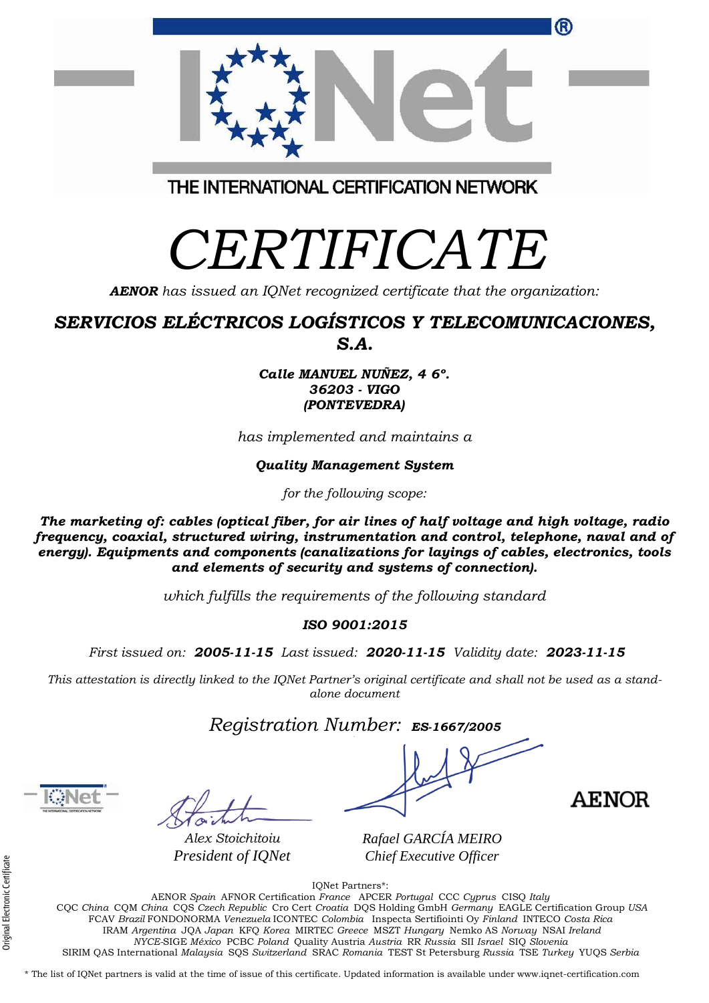| IONet Partners*:                                                                                               |
|----------------------------------------------------------------------------------------------------------------|
| AENOR Spain AFNOR Certification France APCER Portugal CCC Cyprus CISO Italy                                    |
| CQC China CQM China CQS Czech Republic Cro Cert Croatia DQS Holding GmbH Germany EAGLE Certification Group USA |
| FCAV Brazil FONDONORMA Venezuela ICONTEC Colombia Inspecta Sertifiointi Oy Finland INTECO Costa Rica           |
| IRAM Argentina JQA Japan KFQ Korea MIRTEC Greece MSZT Hungary Nemko AS Norway NSAI Ireland                     |
| NYCE-SIGE México PCBC Poland Quality Austria Austria RR Russia SII Israel SIQ Slovenia                         |
| SIRIM OAS International Malaysia SOS Switzerland SRAC Romania TEST St Petersburg Russia TSE Turkey YUOS Serbia |
|                                                                                                                |

\* The list of IQNet partners is valid at the time of issue of this certificate. Updated information is available under www.iqnet-certification.com

THE INTERNATIONAL CERTIFICATION NETWORK

# *CERTIFICATE*

*AENOR has issued an IQNet recognized certificate that the organization:*

### *SERVICIOS ELÉCTRICOS LOGÍSTICOS Y TELECOMUNICACIONES, S.A.*

*Calle MANUEL NUÑEZ, 4 6º. 36203 - VIGO (PONTEVEDRA)*

*has implemented and maintains a*

*Quality Management System*

*for the following scope:* 

*The marketing of: cables (optical fiber, for air lines of half voltage and high voltage, radio frequency, coaxial, structured wiring, instrumentation and control, telephone, naval and of energy). Equipments and components (canalizations for layings of cables, electronics, tools and elements of security and systems of connection).*

*which fulfills the requirements of the following standard*

#### *ISO 9001:2015*

*First issued on: 2005-11-15 Last issued: 2020-11-15 Validity date: 2023-11-15*

This attestation is directly linked to the IQNet Partner's original certificate and shall not be used as a stand*alone document*

*Registration Number: ES-1667/2005*

*Alex Stoichitoiu President of IQNet*

*Rafael GARCÍA MEIRO Chief Executive Officer*



**AENOR** 

(R)